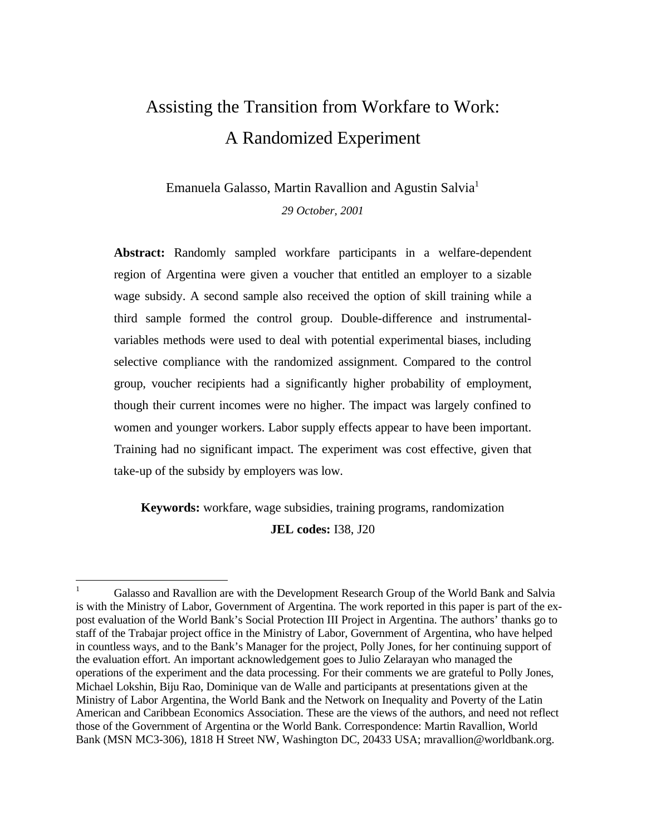# Assisting the Transition from Workfare to Work: A Randomized Experiment

Emanuela Galasso, Martin Ravallion and Agustin Salvia<sup>1</sup> *29 October, 2001*

**Abstract:** Randomly sampled workfare participants in a welfare-dependent region of Argentina were given a voucher that entitled an employer to a sizable wage subsidy. A second sample also received the option of skill training while a third sample formed the control group. Double-difference and instrumentalvariables methods were used to deal with potential experimental biases, including selective compliance with the randomized assignment. Compared to the control group, voucher recipients had a significantly higher probability of employment, though their current incomes were no higher. The impact was largely confined to women and younger workers. Labor supply effects appear to have been important. Training had no significant impact. The experiment was cost effective, given that take-up of the subsidy by employers was low.

**Keywords:** workfare, wage subsidies, training programs, randomization

**JEL codes:** I38, J20

 $\overline{a}$ 

<sup>1</sup> Galasso and Ravallion are with the Development Research Group of the World Bank and Salvia is with the Ministry of Labor, Government of Argentina. The work reported in this paper is part of the expost evaluation of the World Bank's Social Protection III Project in Argentina. The authors' thanks go to staff of the Trabajar project office in the Ministry of Labor, Government of Argentina, who have helped in countless ways, and to the Bank's Manager for the project, Polly Jones, for her continuing support of the evaluation effort. An important acknowledgement goes to Julio Zelarayan who managed the operations of the experiment and the data processing. For their comments we are grateful to Polly Jones, Michael Lokshin, Biju Rao, Dominique van de Walle and participants at presentations given at the Ministry of Labor Argentina, the World Bank and the Network on Inequality and Poverty of the Latin American and Caribbean Economics Association. These are the views of the authors, and need not reflect those of the Government of Argentina or the World Bank. Correspondence: Martin Ravallion, World Bank (MSN MC3-306), 1818 H Street NW, Washington DC, 20433 USA; mravallion@worldbank.org.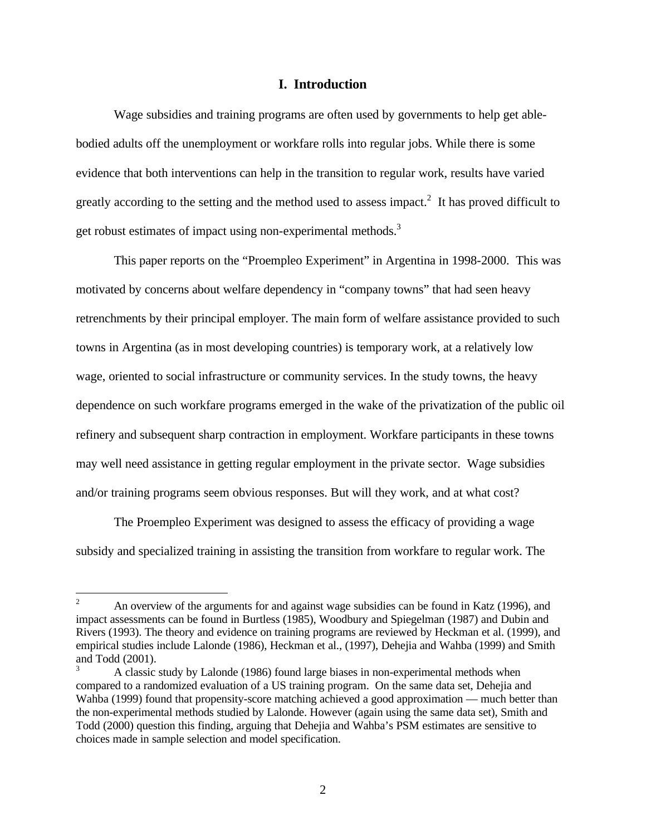#### **I. Introduction**

Wage subsidies and training programs are often used by governments to help get ablebodied adults off the unemployment or workfare rolls into regular jobs. While there is some evidence that both interventions can help in the transition to regular work, results have varied greatly according to the setting and the method used to assess impact.<sup>2</sup> It has proved difficult to get robust estimates of impact using non-experimental methods.<sup>3</sup>

This paper reports on the "Proempleo Experiment" in Argentina in 1998-2000. This was motivated by concerns about welfare dependency in "company towns" that had seen heavy retrenchments by their principal employer. The main form of welfare assistance provided to such towns in Argentina (as in most developing countries) is temporary work, at a relatively low wage, oriented to social infrastructure or community services. In the study towns, the heavy dependence on such workfare programs emerged in the wake of the privatization of the public oil refinery and subsequent sharp contraction in employment. Workfare participants in these towns may well need assistance in getting regular employment in the private sector. Wage subsidies and/or training programs seem obvious responses. But will they work, and at what cost?

The Proempleo Experiment was designed to assess the efficacy of providing a wage subsidy and specialized training in assisting the transition from workfare to regular work. The

 $\overline{2}$ <sup>2</sup> An overview of the arguments for and against wage subsidies can be found in Katz (1996), and impact assessments can be found in Burtless (1985), Woodbury and Spiegelman (1987) and Dubin and Rivers (1993). The theory and evidence on training programs are reviewed by Heckman et al. (1999), and empirical studies include Lalonde (1986), Heckman et al., (1997), Dehejia and Wahba (1999) and Smith and Todd (2001).

A classic study by Lalonde (1986) found large biases in non-experimental methods when compared to a randomized evaluation of a US training program. On the same data set, Dehejia and Wahba (1999) found that propensity-score matching achieved a good approximation — much better than the non-experimental methods studied by Lalonde. However (again using the same data set), Smith and Todd (2000) question this finding, arguing that Dehejia and Wahba's PSM estimates are sensitive to choices made in sample selection and model specification.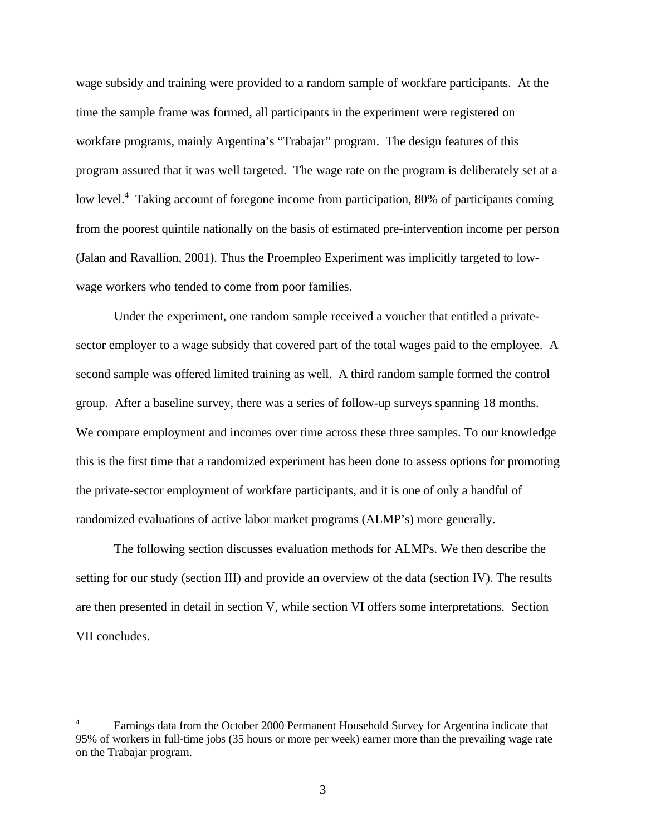wage subsidy and training were provided to a random sample of workfare participants. At the time the sample frame was formed, all participants in the experiment were registered on workfare programs, mainly Argentina's "Trabajar" program. The design features of this program assured that it was well targeted. The wage rate on the program is deliberately set at a low level.<sup>4</sup> Taking account of foregone income from participation, 80% of participants coming from the poorest quintile nationally on the basis of estimated pre-intervention income per person (Jalan and Ravallion, 2001). Thus the Proempleo Experiment was implicitly targeted to lowwage workers who tended to come from poor families.

Under the experiment, one random sample received a voucher that entitled a privatesector employer to a wage subsidy that covered part of the total wages paid to the employee. A second sample was offered limited training as well. A third random sample formed the control group. After a baseline survey, there was a series of follow-up surveys spanning 18 months. We compare employment and incomes over time across these three samples. To our knowledge this is the first time that a randomized experiment has been done to assess options for promoting the private-sector employment of workfare participants, and it is one of only a handful of randomized evaluations of active labor market programs (ALMP's) more generally.

The following section discusses evaluation methods for ALMPs. We then describe the setting for our study (section III) and provide an overview of the data (section IV). The results are then presented in detail in section V, while section VI offers some interpretations. Section VII concludes.

<u>.</u>

<sup>4</sup> Earnings data from the October 2000 Permanent Household Survey for Argentina indicate that 95% of workers in full-time jobs (35 hours or more per week) earner more than the prevailing wage rate on the Trabajar program.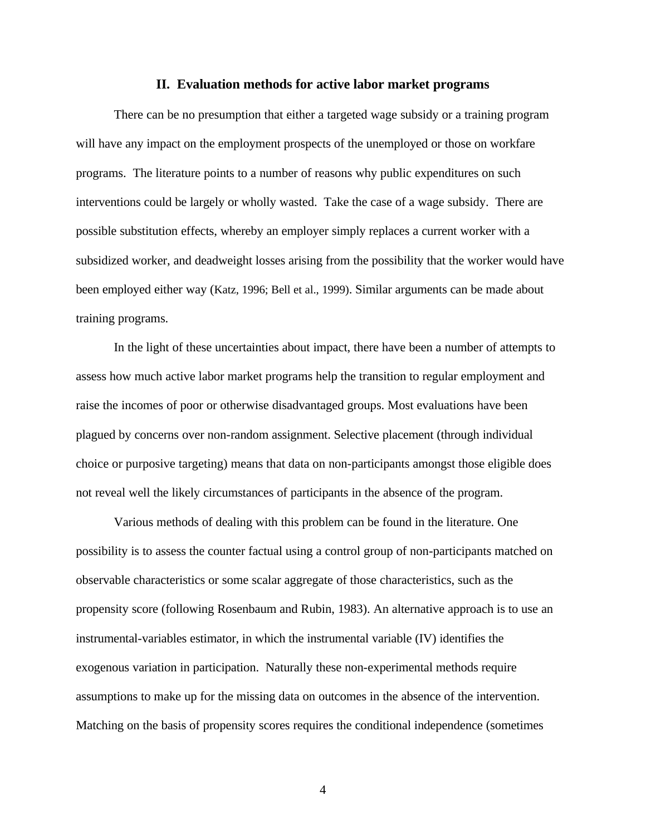#### **II. Evaluation methods for active labor market programs**

There can be no presumption that either a targeted wage subsidy or a training program will have any impact on the employment prospects of the unemployed or those on workfare programs. The literature points to a number of reasons why public expenditures on such interventions could be largely or wholly wasted. Take the case of a wage subsidy. There are possible substitution effects, whereby an employer simply replaces a current worker with a subsidized worker, and deadweight losses arising from the possibility that the worker would have been employed either way (Katz, 1996; Bell et al., 1999). Similar arguments can be made about training programs.

In the light of these uncertainties about impact, there have been a number of attempts to assess how much active labor market programs help the transition to regular employment and raise the incomes of poor or otherwise disadvantaged groups. Most evaluations have been plagued by concerns over non-random assignment. Selective placement (through individual choice or purposive targeting) means that data on non-participants amongst those eligible does not reveal well the likely circumstances of participants in the absence of the program.

Various methods of dealing with this problem can be found in the literature. One possibility is to assess the counter factual using a control group of non-participants matched on observable characteristics or some scalar aggregate of those characteristics, such as the propensity score (following Rosenbaum and Rubin, 1983). An alternative approach is to use an instrumental-variables estimator, in which the instrumental variable (IV) identifies the exogenous variation in participation. Naturally these non-experimental methods require assumptions to make up for the missing data on outcomes in the absence of the intervention. Matching on the basis of propensity scores requires the conditional independence (sometimes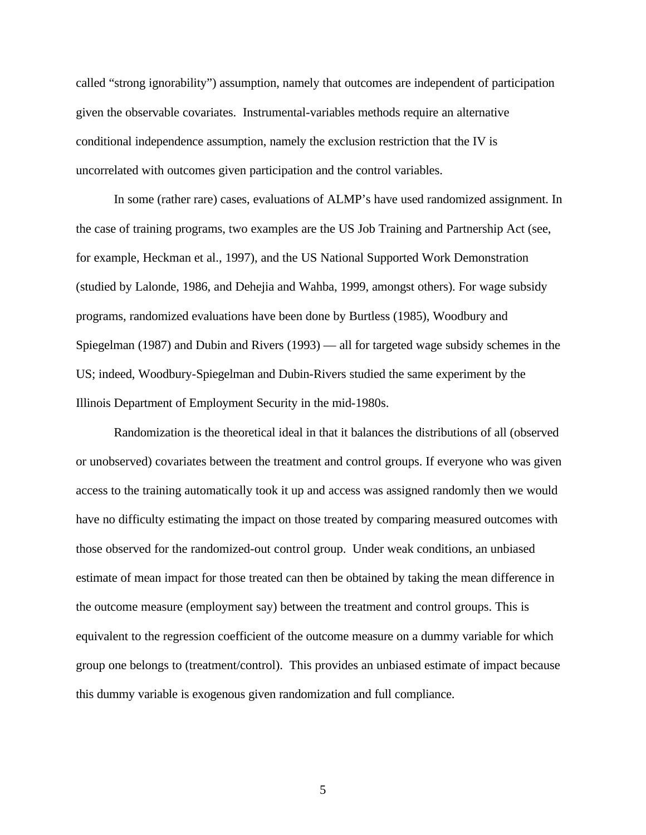called "strong ignorability") assumption, namely that outcomes are independent of participation given the observable covariates. Instrumental-variables methods require an alternative conditional independence assumption, namely the exclusion restriction that the IV is uncorrelated with outcomes given participation and the control variables.

In some (rather rare) cases, evaluations of ALMP's have used randomized assignment. In the case of training programs, two examples are the US Job Training and Partnership Act (see, for example, Heckman et al., 1997), and the US National Supported Work Demonstration (studied by Lalonde, 1986, and Dehejia and Wahba, 1999, amongst others). For wage subsidy programs, randomized evaluations have been done by Burtless (1985), Woodbury and Spiegelman (1987) and Dubin and Rivers (1993) — all for targeted wage subsidy schemes in the US; indeed, Woodbury-Spiegelman and Dubin-Rivers studied the same experiment by the Illinois Department of Employment Security in the mid-1980s.

Randomization is the theoretical ideal in that it balances the distributions of all (observed or unobserved) covariates between the treatment and control groups. If everyone who was given access to the training automatically took it up and access was assigned randomly then we would have no difficulty estimating the impact on those treated by comparing measured outcomes with those observed for the randomized-out control group. Under weak conditions, an unbiased estimate of mean impact for those treated can then be obtained by taking the mean difference in the outcome measure (employment say) between the treatment and control groups. This is equivalent to the regression coefficient of the outcome measure on a dummy variable for which group one belongs to (treatment/control). This provides an unbiased estimate of impact because this dummy variable is exogenous given randomization and full compliance.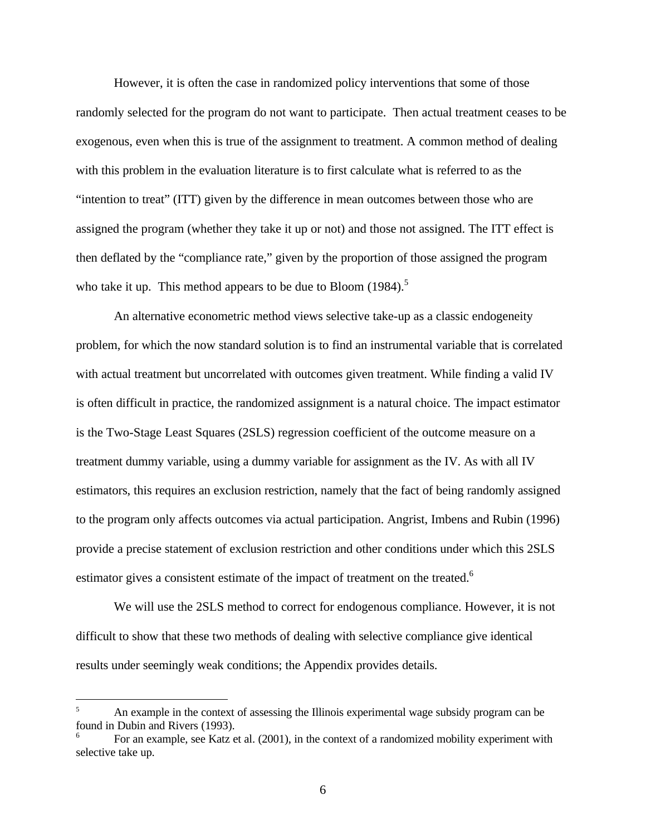However, it is often the case in randomized policy interventions that some of those randomly selected for the program do not want to participate. Then actual treatment ceases to be exogenous, even when this is true of the assignment to treatment. A common method of dealing with this problem in the evaluation literature is to first calculate what is referred to as the "intention to treat" (ITT) given by the difference in mean outcomes between those who are assigned the program (whether they take it up or not) and those not assigned. The ITT effect is then deflated by the "compliance rate," given by the proportion of those assigned the program who take it up. This method appears to be due to Bloom  $(1984)$ .<sup>5</sup>

An alternative econometric method views selective take-up as a classic endogeneity problem, for which the now standard solution is to find an instrumental variable that is correlated with actual treatment but uncorrelated with outcomes given treatment. While finding a valid IV is often difficult in practice, the randomized assignment is a natural choice. The impact estimator is the Two-Stage Least Squares (2SLS) regression coefficient of the outcome measure on a treatment dummy variable, using a dummy variable for assignment as the IV. As with all IV estimators, this requires an exclusion restriction, namely that the fact of being randomly assigned to the program only affects outcomes via actual participation. Angrist, Imbens and Rubin (1996) provide a precise statement of exclusion restriction and other conditions under which this 2SLS estimator gives a consistent estimate of the impact of treatment on the treated.<sup>6</sup>

We will use the 2SLS method to correct for endogenous compliance. However, it is not difficult to show that these two methods of dealing with selective compliance give identical results under seemingly weak conditions; the Appendix provides details.

 $\overline{a}$ 

An example in the context of assessing the Illinois experimental wage subsidy program can be found in Dubin and Rivers (1993).

<sup>6</sup> For an example, see Katz et al. (2001), in the context of a randomized mobility experiment with selective take up.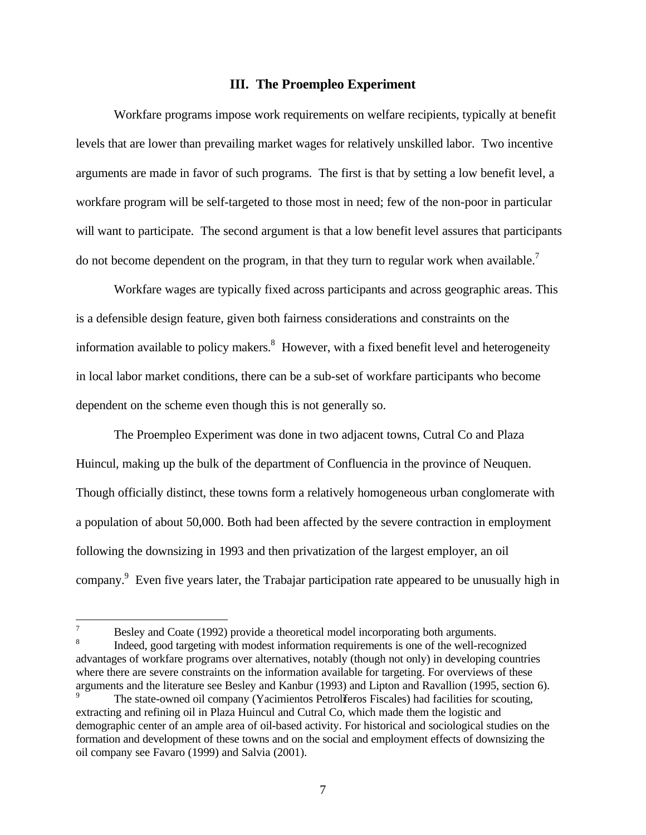#### **III. The Proempleo Experiment**

Workfare programs impose work requirements on welfare recipients, typically at benefit levels that are lower than prevailing market wages for relatively unskilled labor. Two incentive arguments are made in favor of such programs. The first is that by setting a low benefit level, a workfare program will be self-targeted to those most in need; few of the non-poor in particular will want to participate. The second argument is that a low benefit level assures that participants do not become dependent on the program, in that they turn to regular work when available.<sup>7</sup>

Workfare wages are typically fixed across participants and across geographic areas. This is a defensible design feature, given both fairness considerations and constraints on the information available to policy makers.<sup>8</sup> However, with a fixed benefit level and heterogeneity in local labor market conditions, there can be a sub-set of workfare participants who become dependent on the scheme even though this is not generally so.

The Proempleo Experiment was done in two adjacent towns, Cutral Co and Plaza Huincul, making up the bulk of the department of Confluencia in the province of Neuquen. Though officially distinct, these towns form a relatively homogeneous urban conglomerate with a population of about 50,000. Both had been affected by the severe contraction in employment following the downsizing in 1993 and then privatization of the largest employer, an oil company.<sup>9</sup> Even five years later, the Trabajar participation rate appeared to be unusually high in

-

Besley and Coate (1992) provide a theoretical model incorporating both arguments.

<sup>8</sup> Indeed, good targeting with modest information requirements is one of the well-recognized advantages of workfare programs over alternatives, notably (though not only) in developing countries where there are severe constraints on the information available for targeting. For overviews of these arguments and the literature see Besley and Kanbur (1993) and Lipton and Ravallion (1995, section 6).

The state-owned oil company (Yacimientos Petrolíferos Fiscales) had facilities for scouting, extracting and refining oil in Plaza Huincul and Cutral Co, which made them the logistic and demographic center of an ample area of oil-based activity. For historical and sociological studies on the formation and development of these towns and on the social and employment effects of downsizing the oil company see Favaro (1999) and Salvia (2001).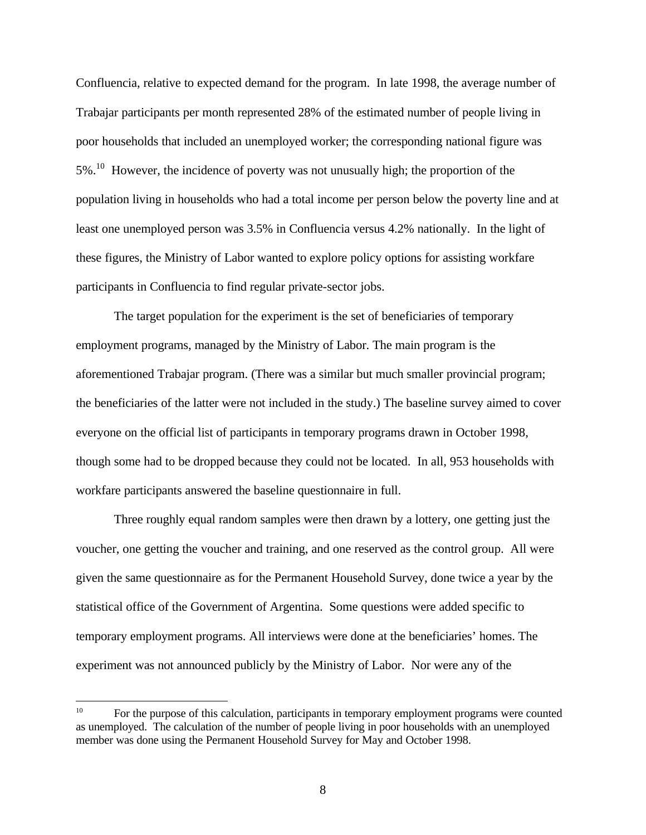Confluencia, relative to expected demand for the program. In late 1998, the average number of Trabajar participants per month represented 28% of the estimated number of people living in poor households that included an unemployed worker; the corresponding national figure was 5%.<sup>10</sup> However, the incidence of poverty was not unusually high; the proportion of the population living in households who had a total income per person below the poverty line and at least one unemployed person was 3.5% in Confluencia versus 4.2% nationally. In the light of these figures, the Ministry of Labor wanted to explore policy options for assisting workfare participants in Confluencia to find regular private-sector jobs.

The target population for the experiment is the set of beneficiaries of temporary employment programs, managed by the Ministry of Labor. The main program is the aforementioned Trabajar program. (There was a similar but much smaller provincial program; the beneficiaries of the latter were not included in the study.) The baseline survey aimed to cover everyone on the official list of participants in temporary programs drawn in October 1998, though some had to be dropped because they could not be located. In all, 953 households with workfare participants answered the baseline questionnaire in full.

Three roughly equal random samples were then drawn by a lottery, one getting just the voucher, one getting the voucher and training, and one reserved as the control group. All were given the same questionnaire as for the Permanent Household Survey, done twice a year by the statistical office of the Government of Argentina. Some questions were added specific to temporary employment programs. All interviews were done at the beneficiaries' homes. The experiment was not announced publicly by the Ministry of Labor. Nor were any of the

 $10<sup>10</sup>$ For the purpose of this calculation, participants in temporary employment programs were counted as unemployed. The calculation of the number of people living in poor households with an unemployed member was done using the Permanent Household Survey for May and October 1998.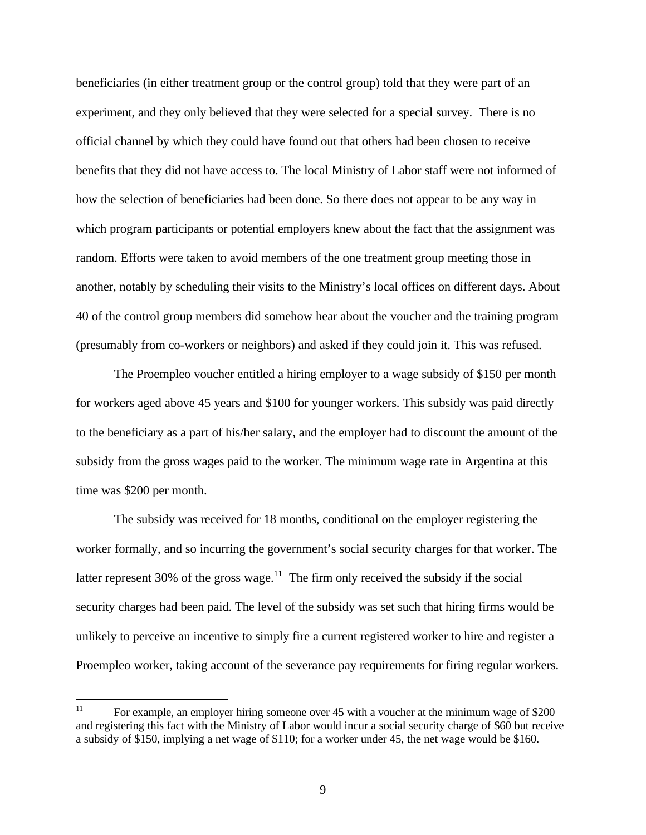beneficiaries (in either treatment group or the control group) told that they were part of an experiment, and they only believed that they were selected for a special survey. There is no official channel by which they could have found out that others had been chosen to receive benefits that they did not have access to. The local Ministry of Labor staff were not informed of how the selection of beneficiaries had been done. So there does not appear to be any way in which program participants or potential employers knew about the fact that the assignment was random. Efforts were taken to avoid members of the one treatment group meeting those in another, notably by scheduling their visits to the Ministry's local offices on different days. About 40 of the control group members did somehow hear about the voucher and the training program (presumably from co-workers or neighbors) and asked if they could join it. This was refused.

The Proempleo voucher entitled a hiring employer to a wage subsidy of \$150 per month for workers aged above 45 years and \$100 for younger workers. This subsidy was paid directly to the beneficiary as a part of his/her salary, and the employer had to discount the amount of the subsidy from the gross wages paid to the worker. The minimum wage rate in Argentina at this time was \$200 per month.

The subsidy was received for 18 months, conditional on the employer registering the worker formally, and so incurring the government's social security charges for that worker. The latter represent 30% of the gross wage.<sup>11</sup> The firm only received the subsidy if the social security charges had been paid. The level of the subsidy was set such that hiring firms would be unlikely to perceive an incentive to simply fire a current registered worker to hire and register a Proempleo worker, taking account of the severance pay requirements for firing regular workers.

 $11$ For example, an employer hiring someone over 45 with a voucher at the minimum wage of \$200 and registering this fact with the Ministry of Labor would incur a social security charge of \$60 but receive a subsidy of \$150, implying a net wage of \$110; for a worker under 45, the net wage would be \$160.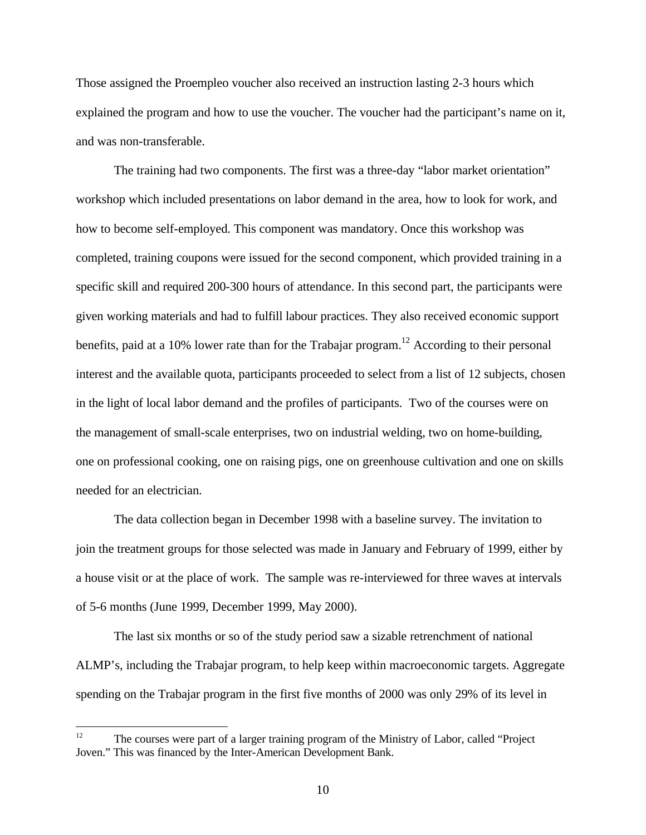Those assigned the Proempleo voucher also received an instruction lasting 2-3 hours which explained the program and how to use the voucher. The voucher had the participant's name on it, and was non-transferable.

The training had two components. The first was a three-day "labor market orientation" workshop which included presentations on labor demand in the area, how to look for work, and how to become self-employed. This component was mandatory. Once this workshop was completed, training coupons were issued for the second component, which provided training in a specific skill and required 200-300 hours of attendance. In this second part, the participants were given working materials and had to fulfill labour practices. They also received economic support benefits, paid at a 10% lower rate than for the Trabajar program.<sup>12</sup> According to their personal interest and the available quota, participants proceeded to select from a list of 12 subjects, chosen in the light of local labor demand and the profiles of participants. Two of the courses were on the management of small-scale enterprises, two on industrial welding, two on home-building, one on professional cooking, one on raising pigs, one on greenhouse cultivation and one on skills needed for an electrician.

The data collection began in December 1998 with a baseline survey. The invitation to join the treatment groups for those selected was made in January and February of 1999, either by a house visit or at the place of work. The sample was re-interviewed for three waves at intervals of 5-6 months (June 1999, December 1999, May 2000).

The last six months or so of the study period saw a sizable retrenchment of national ALMP's, including the Trabajar program, to help keep within macroeconomic targets. Aggregate spending on the Trabajar program in the first five months of 2000 was only 29% of its level in

 $12$ <sup>12</sup> The courses were part of a larger training program of the Ministry of Labor, called "Project Joven." This was financed by the Inter-American Development Bank.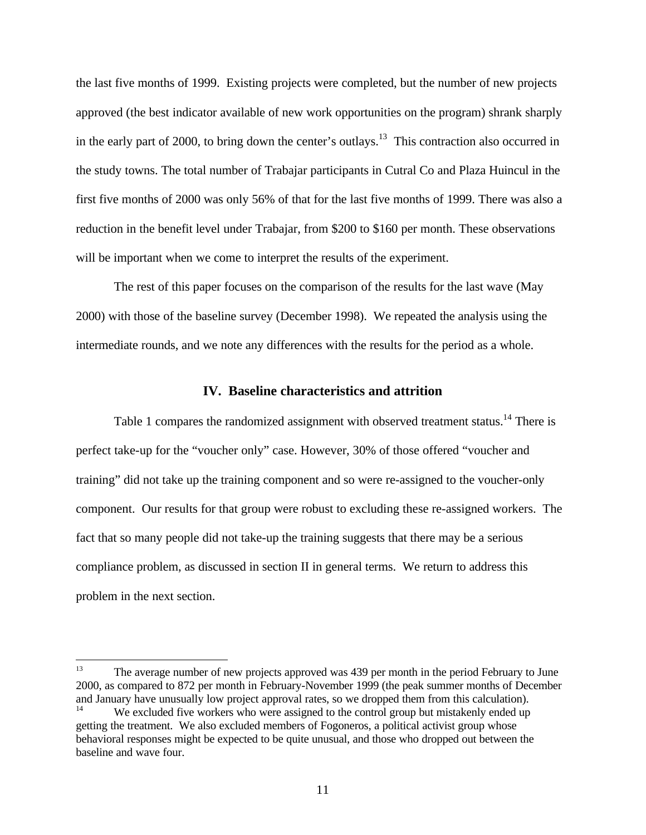the last five months of 1999. Existing projects were completed, but the number of new projects approved (the best indicator available of new work opportunities on the program) shrank sharply in the early part of 2000, to bring down the center's outlays.<sup>13</sup> This contraction also occurred in the study towns. The total number of Trabajar participants in Cutral Co and Plaza Huincul in the first five months of 2000 was only 56% of that for the last five months of 1999. There was also a reduction in the benefit level under Trabajar, from \$200 to \$160 per month. These observations will be important when we come to interpret the results of the experiment.

The rest of this paper focuses on the comparison of the results for the last wave (May 2000) with those of the baseline survey (December 1998). We repeated the analysis using the intermediate rounds, and we note any differences with the results for the period as a whole.

#### **IV. Baseline characteristics and attrition**

Table 1 compares the randomized assignment with observed treatment status.<sup>14</sup> There is perfect take-up for the "voucher only" case. However, 30% of those offered "voucher and training" did not take up the training component and so were re-assigned to the voucher-only component. Our results for that group were robust to excluding these re-assigned workers. The fact that so many people did not take-up the training suggests that there may be a serious compliance problem, as discussed in section II in general terms. We return to address this problem in the next section.

<sup>13</sup> The average number of new projects approved was 439 per month in the period February to June 2000, as compared to 872 per month in February-November 1999 (the peak summer months of December and January have unusually low project approval rates, so we dropped them from this calculation). We excluded five workers who were assigned to the control group but mistakenly ended up getting the treatment. We also excluded members of Fogoneros, a political activist group whose behavioral responses might be expected to be quite unusual, and those who dropped out between the baseline and wave four.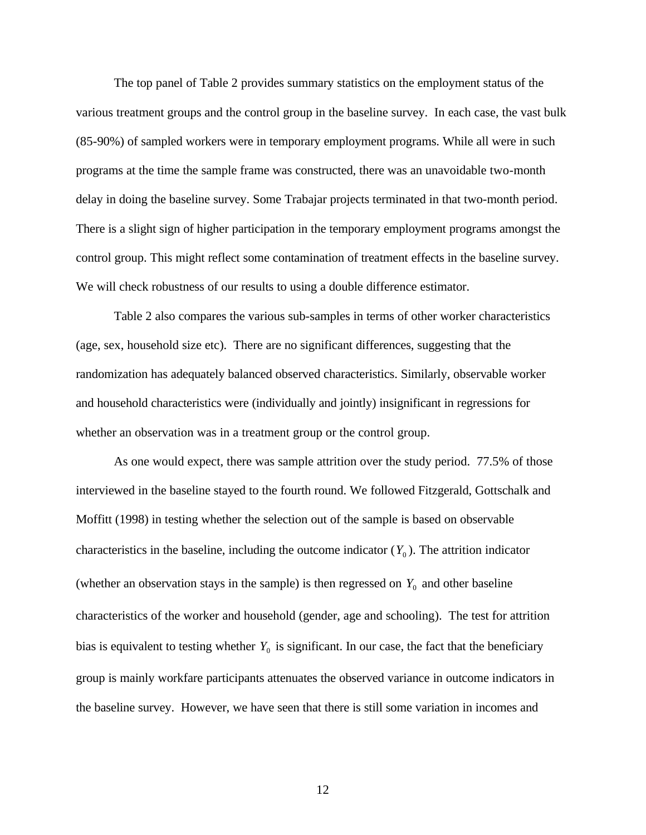The top panel of Table 2 provides summary statistics on the employment status of the various treatment groups and the control group in the baseline survey. In each case, the vast bulk (85-90%) of sampled workers were in temporary employment programs. While all were in such programs at the time the sample frame was constructed, there was an unavoidable two-month delay in doing the baseline survey. Some Trabajar projects terminated in that two-month period. There is a slight sign of higher participation in the temporary employment programs amongst the control group. This might reflect some contamination of treatment effects in the baseline survey. We will check robustness of our results to using a double difference estimator.

Table 2 also compares the various sub-samples in terms of other worker characteristics (age, sex, household size etc). There are no significant differences, suggesting that the randomization has adequately balanced observed characteristics. Similarly, observable worker and household characteristics were (individually and jointly) insignificant in regressions for whether an observation was in a treatment group or the control group.

As one would expect, there was sample attrition over the study period. 77.5% of those interviewed in the baseline stayed to the fourth round. We followed Fitzgerald, Gottschalk and Moffitt (1998) in testing whether the selection out of the sample is based on observable characteristics in the baseline, including the outcome indicator  $(Y_0)$ . The attrition indicator (whether an observation stays in the sample) is then regressed on  $Y_0$  and other baseline characteristics of the worker and household (gender, age and schooling). The test for attrition bias is equivalent to testing whether  $Y_0$  is significant. In our case, the fact that the beneficiary group is mainly workfare participants attenuates the observed variance in outcome indicators in the baseline survey. However, we have seen that there is still some variation in incomes and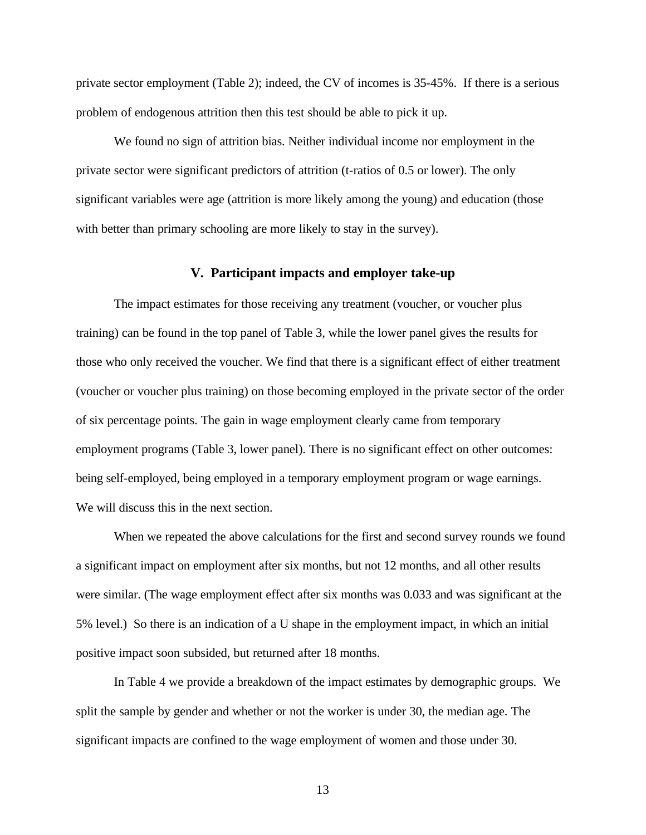private sector employment (Table 2); indeed, the CV of incomes is 35-45%. If there is a serious problem of endogenous attrition then this test should be able to pick it up.

We found no sign of attrition bias. Neither individual income nor employment in the private sector were significant predictors of attrition (t-ratios of 0.5 or lower). The only significant variables were age (attrition is more likely among the young) and education (those with better than primary schooling are more likely to stay in the survey).

#### **V. Participant impacts and employer take-up**

The impact estimates for those receiving any treatment (voucher, or voucher plus training) can be found in the top panel of Table 3, while the lower panel gives the results for those who only received the voucher. We find that there is a significant effect of either treatment (voucher or voucher plus training) on those becoming employed in the private sector of the order of six percentage points. The gain in wage employment clearly came from temporary employment programs (Table 3, lower panel). There is no significant effect on other outcomes: being self-employed, being employed in a temporary employment program or wage earnings. We will discuss this in the next section.

When we repeated the above calculations for the first and second survey rounds we found a significant impact on employment after six months, but not 12 months, and all other results were similar. (The wage employment effect after six months was 0.033 and was significant at the 5% level.) So there is an indication of a U shape in the employment impact, in which an initial positive impact soon subsided, but returned after 18 months.

In Table 4 we provide a breakdown of the impact estimates by demographic groups. We split the sample by gender and whether or not the worker is under 30, the median age. The significant impacts are confined to the wage employment of women and those under 30.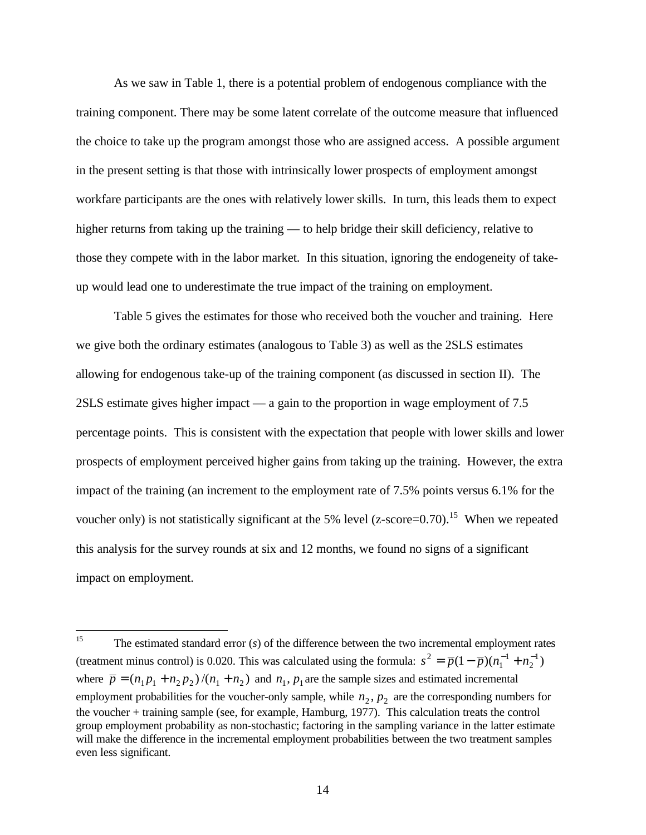As we saw in Table 1, there is a potential problem of endogenous compliance with the training component. There may be some latent correlate of the outcome measure that influenced the choice to take up the program amongst those who are assigned access. A possible argument in the present setting is that those with intrinsically lower prospects of employment amongst workfare participants are the ones with relatively lower skills. In turn, this leads them to expect higher returns from taking up the training — to help bridge their skill deficiency, relative to those they compete with in the labor market. In this situation, ignoring the endogeneity of takeup would lead one to underestimate the true impact of the training on employment.

Table 5 gives the estimates for those who received both the voucher and training. Here we give both the ordinary estimates (analogous to Table 3) as well as the 2SLS estimates allowing for endogenous take-up of the training component (as discussed in section II). The 2SLS estimate gives higher impact — a gain to the proportion in wage employment of 7.5 percentage points. This is consistent with the expectation that people with lower skills and lower prospects of employment perceived higher gains from taking up the training. However, the extra impact of the training (an increment to the employment rate of 7.5% points versus 6.1% for the voucher only) is not statistically significant at the 5% level  $(z\text{-score}=0.70)$ .<sup>15</sup> When we repeated this analysis for the survey rounds at six and 12 months, we found no signs of a significant impact on employment.

 $15\,$ <sup>15</sup> The estimated standard error (*s*) of the difference between the two incremental employment rates (treatment minus control) is 0.020. This was calculated using the formula:  $s^2 = \overline{p}(1 - \overline{p})(n_1^{-1} + n_2^{-1})$ 2 1 1  $s^{2} = \overline{p}(1-\overline{p})(n_{1}^{-1}+n_{2}^{-1})$ where  $\bar{p} = (n_1 p_1 + n_2 p_2) / (n_1 + n_2)$  and  $n_1, p_1$  are the sample sizes and estimated incremental employment probabilities for the voucher-only sample, while  $n_2$ ,  $p_2$  are the corresponding numbers for the voucher + training sample (see, for example, Hamburg, 1977). This calculation treats the control group employment probability as non-stochastic; factoring in the sampling variance in the latter estimate will make the difference in the incremental employment probabilities between the two treatment samples even less significant.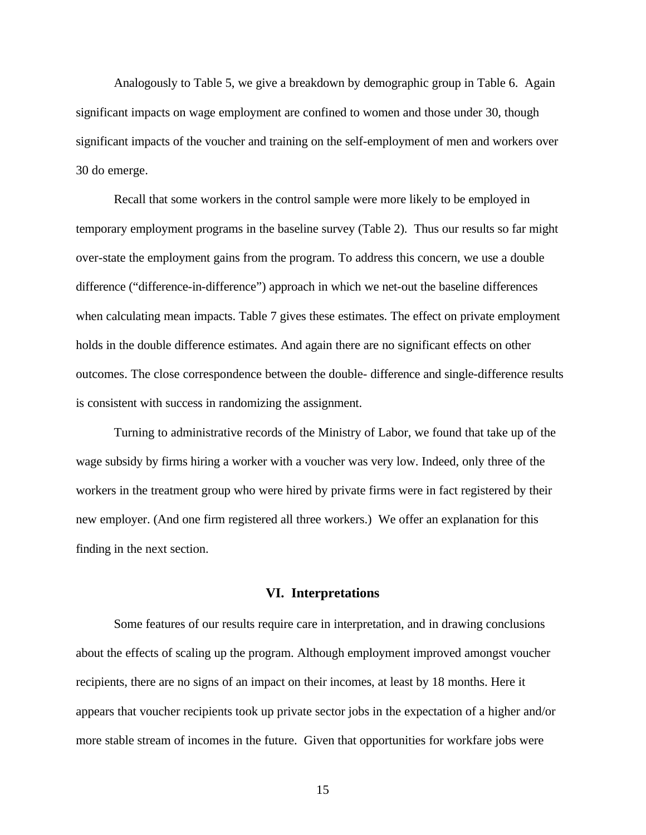Analogously to Table 5, we give a breakdown by demographic group in Table 6. Again significant impacts on wage employment are confined to women and those under 30, though significant impacts of the voucher and training on the self-employment of men and workers over 30 do emerge.

Recall that some workers in the control sample were more likely to be employed in temporary employment programs in the baseline survey (Table 2). Thus our results so far might over-state the employment gains from the program. To address this concern, we use a double difference ("difference-in-difference") approach in which we net-out the baseline differences when calculating mean impacts. Table 7 gives these estimates. The effect on private employment holds in the double difference estimates. And again there are no significant effects on other outcomes. The close correspondence between the double- difference and single-difference results is consistent with success in randomizing the assignment.

Turning to administrative records of the Ministry of Labor, we found that take up of the wage subsidy by firms hiring a worker with a voucher was very low. Indeed, only three of the workers in the treatment group who were hired by private firms were in fact registered by their new employer. (And one firm registered all three workers.) We offer an explanation for this finding in the next section.

#### **VI. Interpretations**

Some features of our results require care in interpretation, and in drawing conclusions about the effects of scaling up the program. Although employment improved amongst voucher recipients, there are no signs of an impact on their incomes, at least by 18 months. Here it appears that voucher recipients took up private sector jobs in the expectation of a higher and/or more stable stream of incomes in the future. Given that opportunities for workfare jobs were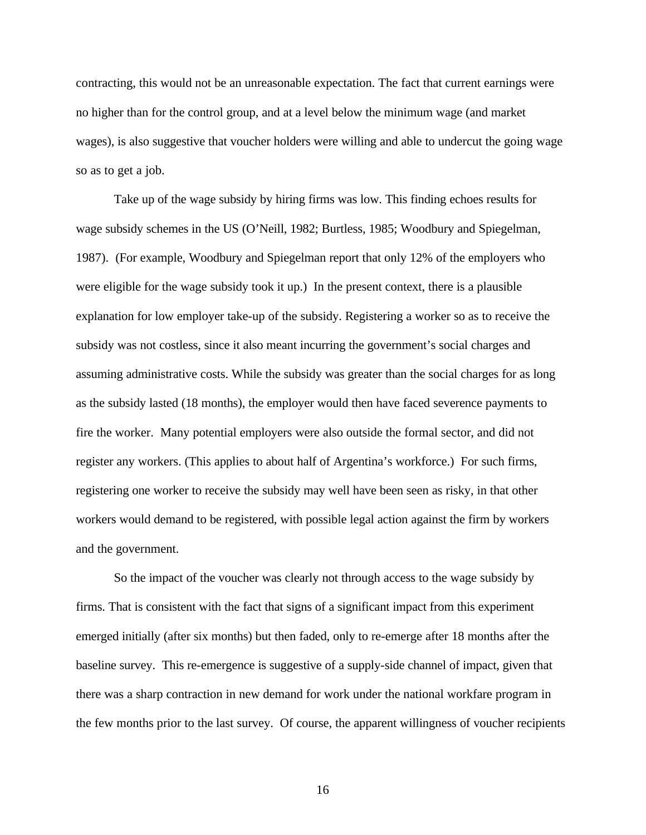contracting, this would not be an unreasonable expectation. The fact that current earnings were no higher than for the control group, and at a level below the minimum wage (and market wages), is also suggestive that voucher holders were willing and able to undercut the going wage so as to get a job.

Take up of the wage subsidy by hiring firms was low. This finding echoes results for wage subsidy schemes in the US (O'Neill, 1982; Burtless, 1985; Woodbury and Spiegelman, 1987). (For example, Woodbury and Spiegelman report that only 12% of the employers who were eligible for the wage subsidy took it up.) In the present context, there is a plausible explanation for low employer take-up of the subsidy. Registering a worker so as to receive the subsidy was not costless, since it also meant incurring the government's social charges and assuming administrative costs. While the subsidy was greater than the social charges for as long as the subsidy lasted (18 months), the employer would then have faced severence payments to fire the worker. Many potential employers were also outside the formal sector, and did not register any workers. (This applies to about half of Argentina's workforce.) For such firms, registering one worker to receive the subsidy may well have been seen as risky, in that other workers would demand to be registered, with possible legal action against the firm by workers and the government.

So the impact of the voucher was clearly not through access to the wage subsidy by firms. That is consistent with the fact that signs of a significant impact from this experiment emerged initially (after six months) but then faded, only to re-emerge after 18 months after the baseline survey. This re-emergence is suggestive of a supply-side channel of impact, given that there was a sharp contraction in new demand for work under the national workfare program in the few months prior to the last survey. Of course, the apparent willingness of voucher recipients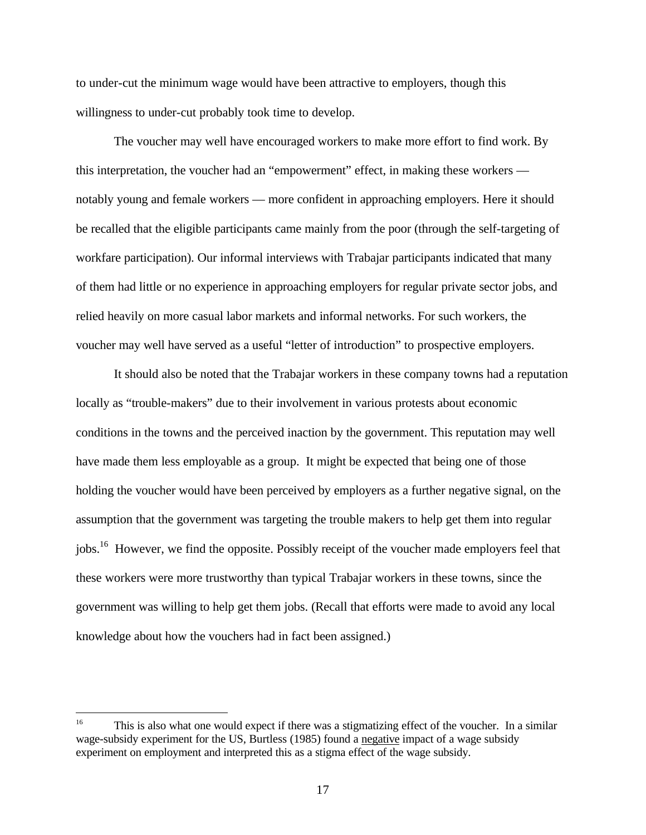to under-cut the minimum wage would have been attractive to employers, though this willingness to under-cut probably took time to develop.

The voucher may well have encouraged workers to make more effort to find work. By this interpretation, the voucher had an "empowerment" effect, in making these workers notably young and female workers — more confident in approaching employers. Here it should be recalled that the eligible participants came mainly from the poor (through the self-targeting of workfare participation). Our informal interviews with Trabajar participants indicated that many of them had little or no experience in approaching employers for regular private sector jobs, and relied heavily on more casual labor markets and informal networks. For such workers, the voucher may well have served as a useful "letter of introduction" to prospective employers.

It should also be noted that the Trabajar workers in these company towns had a reputation locally as "trouble-makers" due to their involvement in various protests about economic conditions in the towns and the perceived inaction by the government. This reputation may well have made them less employable as a group. It might be expected that being one of those holding the voucher would have been perceived by employers as a further negative signal, on the assumption that the government was targeting the trouble makers to help get them into regular jobs.<sup>16</sup> However, we find the opposite. Possibly receipt of the voucher made employers feel that these workers were more trustworthy than typical Trabajar workers in these towns, since the government was willing to help get them jobs. (Recall that efforts were made to avoid any local knowledge about how the vouchers had in fact been assigned.)

 $16<sup>1</sup>$ <sup>16</sup> This is also what one would expect if there was a stigmatizing effect of the voucher. In a similar wage-subsidy experiment for the US, Burtless (1985) found a negative impact of a wage subsidy experiment on employment and interpreted this as a stigma effect of the wage subsidy.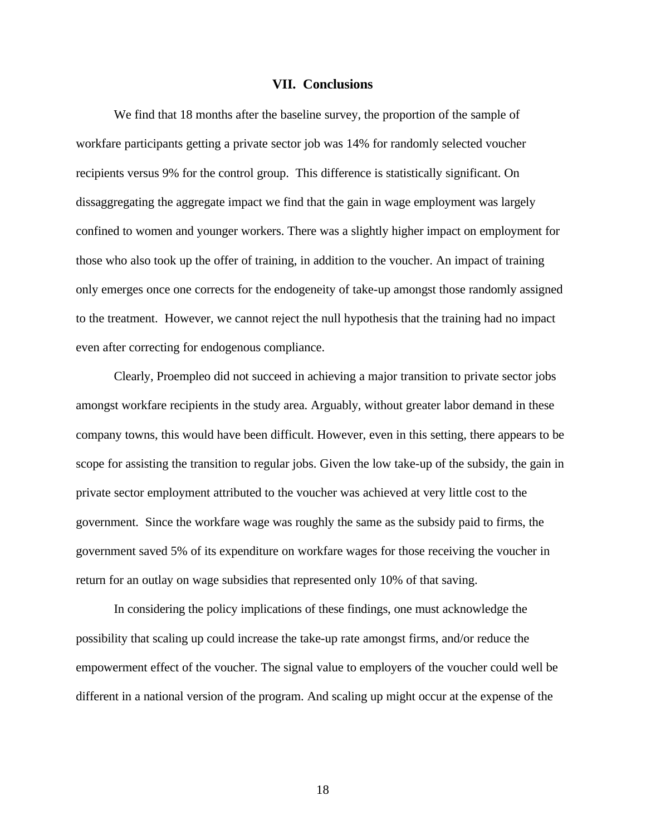#### **VII. Conclusions**

We find that 18 months after the baseline survey, the proportion of the sample of workfare participants getting a private sector job was 14% for randomly selected voucher recipients versus 9% for the control group. This difference is statistically significant. On dissaggregating the aggregate impact we find that the gain in wage employment was largely confined to women and younger workers. There was a slightly higher impact on employment for those who also took up the offer of training, in addition to the voucher. An impact of training only emerges once one corrects for the endogeneity of take-up amongst those randomly assigned to the treatment. However, we cannot reject the null hypothesis that the training had no impact even after correcting for endogenous compliance.

Clearly, Proempleo did not succeed in achieving a major transition to private sector jobs amongst workfare recipients in the study area. Arguably, without greater labor demand in these company towns, this would have been difficult. However, even in this setting, there appears to be scope for assisting the transition to regular jobs. Given the low take-up of the subsidy, the gain in private sector employment attributed to the voucher was achieved at very little cost to the government. Since the workfare wage was roughly the same as the subsidy paid to firms, the government saved 5% of its expenditure on workfare wages for those receiving the voucher in return for an outlay on wage subsidies that represented only 10% of that saving.

In considering the policy implications of these findings, one must acknowledge the possibility that scaling up could increase the take-up rate amongst firms, and/or reduce the empowerment effect of the voucher. The signal value to employers of the voucher could well be different in a national version of the program. And scaling up might occur at the expense of the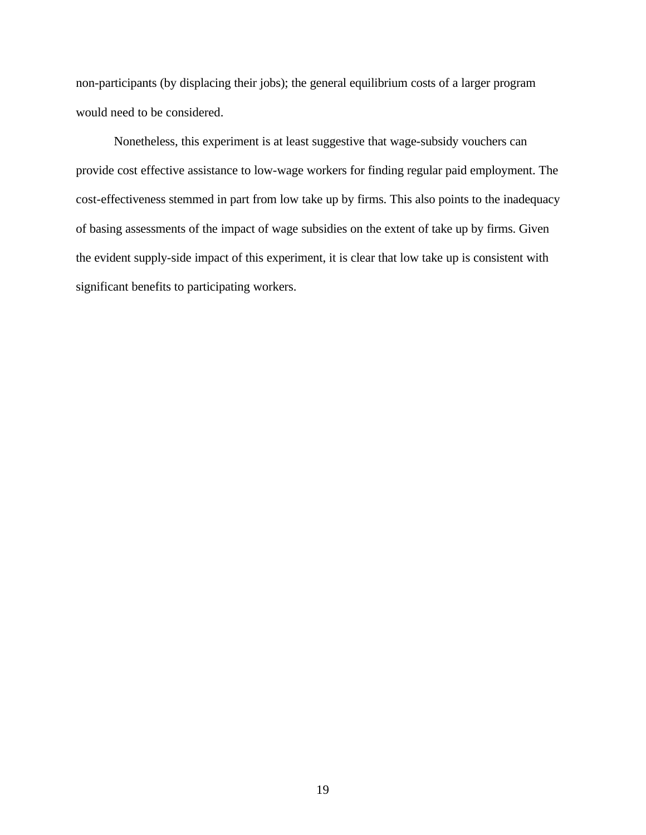non-participants (by displacing their jobs); the general equilibrium costs of a larger program would need to be considered.

Nonetheless, this experiment is at least suggestive that wage-subsidy vouchers can provide cost effective assistance to low-wage workers for finding regular paid employment. The cost-effectiveness stemmed in part from low take up by firms. This also points to the inadequacy of basing assessments of the impact of wage subsidies on the extent of take up by firms. Given the evident supply-side impact of this experiment, it is clear that low take up is consistent with significant benefits to participating workers.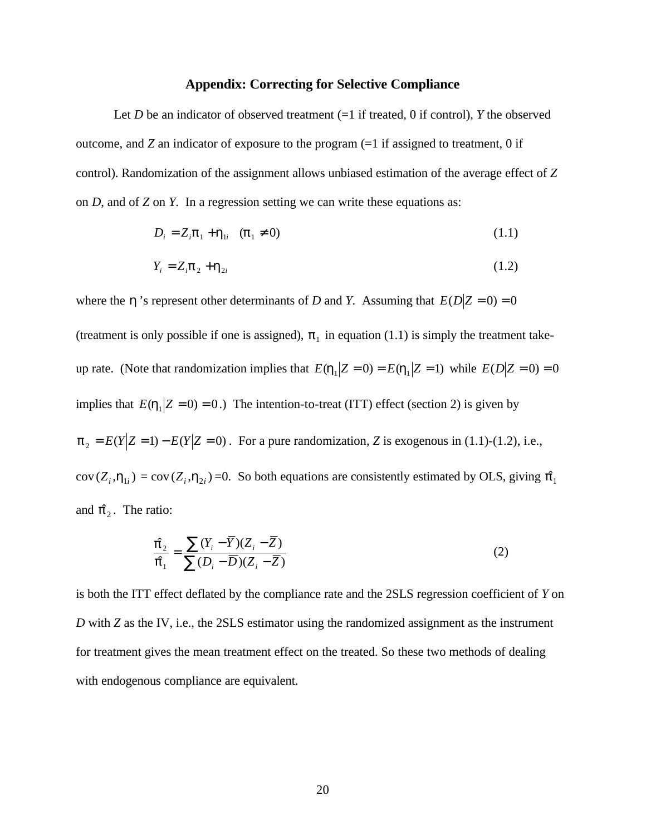#### **Appendix: Correcting for Selective Compliance**

Let  $D$  be an indicator of observed treatment  $(=1$  if treated, 0 if control),  $Y$  the observed outcome, and  $Z$  an indicator of exposure to the program  $(=1)$  if assigned to treatment, 0 if control). Randomization of the assignment allows unbiased estimation of the average effect of *Z* on *D*, and of *Z* on *Y*. In a regression setting we can write these equations as:

$$
D_i = Z_i \mathbf{p}_1 + \mathbf{h}_{1i} \quad (\mathbf{p}_1 \neq 0) \tag{1.1}
$$

$$
Y_i = Z_i \mathbf{p}_2 + \mathbf{h}_{2i} \tag{1.2}
$$

where the *h* 's represent other determinants of *D* and *Y*. Assuming that  $E(D|Z=0) = 0$ 

(treatment is only possible if one is assigned),  $p_1$  in equation (1.1) is simply the treatment takeup rate. (Note that randomization implies that  $E(h_1 | Z = 0) = E(h_1 | Z = 1)$  while  $E(D | Z = 0) = 0$ implies that  $E(h_1 | Z = 0) = 0$ .) The intention-to-treat (ITT) effect (section 2) is given by  $\mathbf{p}_2 = E(Y|Z = 1) - E(Y|Z = 0)$ . For a pure randomization, *Z* is exogenous in (1.1)-(1.2), i.e.,  $cov(Z_i, h_{1i}) = cov(Z_i, h_{2i}) = 0$ . So both equations are consistently estimated by OLS, giving  $\hat{p}_1$ and  $\hat{\boldsymbol{p}}_2$ . The ratio:

$$
\frac{\hat{\mathbf{p}}_2}{\hat{\mathbf{p}}_1} = \frac{\sum (Y_i - \overline{Y})(Z_i - \overline{Z})}{\sum (D_i - \overline{D})(Z_i - \overline{Z})}
$$
(2)

is both the ITT effect deflated by the compliance rate and the 2SLS regression coefficient of *Y* on *D* with *Z* as the IV, i.e., the 2SLS estimator using the randomized assignment as the instrument for treatment gives the mean treatment effect on the treated. So these two methods of dealing with endogenous compliance are equivalent.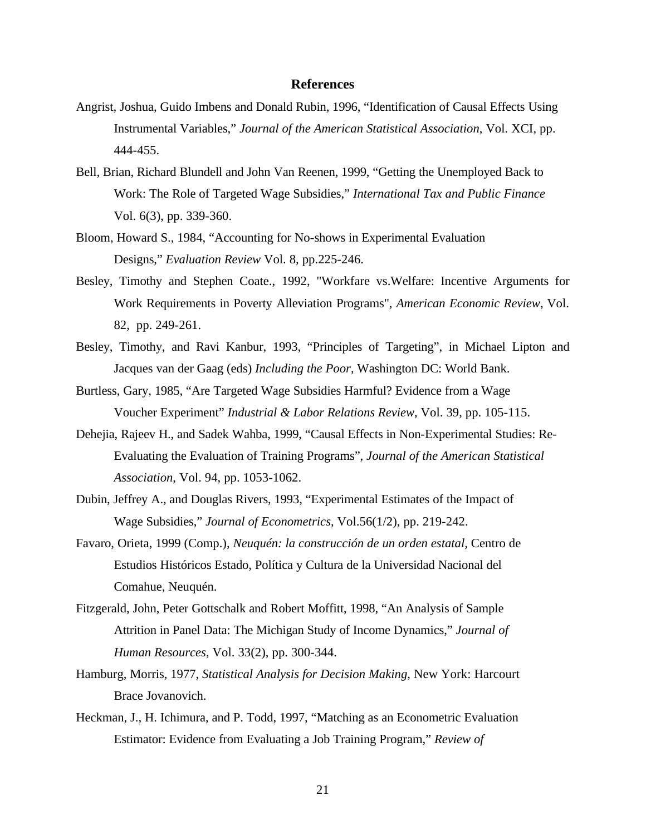#### **References**

- Angrist, Joshua, Guido Imbens and Donald Rubin, 1996, "Identification of Causal Effects Using Instrumental Variables," *Journal of the American Statistical Association*, Vol. XCI, pp. 444-455.
- Bell, Brian, Richard Blundell and John Van Reenen, 1999, "Getting the Unemployed Back to Work: The Role of Targeted Wage Subsidies," *International Tax and Public Finance* Vol. 6(3), pp. 339-360.
- Bloom, Howard S., 1984, "Accounting for No-shows in Experimental Evaluation Designs," *Evaluation Review* Vol. 8, pp.225-246.
- Besley, Timothy and Stephen Coate., 1992, "Workfare vs.Welfare: Incentive Arguments for Work Requirements in Poverty Alleviation Programs", *American Economic Review*, Vol. 82, pp. 249-261.
- Besley, Timothy, and Ravi Kanbur, 1993, "Principles of Targeting", in Michael Lipton and Jacques van der Gaag (eds) *Including the Poor*, Washington DC: World Bank.
- Burtless, Gary, 1985, "Are Targeted Wage Subsidies Harmful? Evidence from a Wage Voucher Experiment" *Industrial & Labor Relations Review*, Vol. 39, pp. 105-115.
- Dehejia, Rajeev H., and Sadek Wahba, 1999, "Causal Effects in Non-Experimental Studies: Re-Evaluating the Evaluation of Training Programs", *Journal of the American Statistical Association*, Vol. 94, pp. 1053-1062.
- Dubin, Jeffrey A., and Douglas Rivers, 1993, "Experimental Estimates of the Impact of Wage Subsidies," *Journal of Econometrics*, Vol.56(1/2), pp. 219-242.
- Favaro, Orieta, 1999 (Comp.), *Neuquén: la construcción de un orden estatal,* Centro de Estudios Históricos Estado, Política y Cultura de la Universidad Nacional del Comahue, Neuquén.
- Fitzgerald, John, Peter Gottschalk and Robert Moffitt, 1998, "An Analysis of Sample Attrition in Panel Data: The Michigan Study of Income Dynamics," *Journal of Human Resources*, Vol. 33(2), pp. 300-344.
- Hamburg, Morris, 1977, *Statistical Analysis for Decision Making*, New York: Harcourt Brace Jovanovich.
- Heckman, J., H. Ichimura, and P. Todd, 1997, "Matching as an Econometric Evaluation Estimator: Evidence from Evaluating a Job Training Program," *Review of*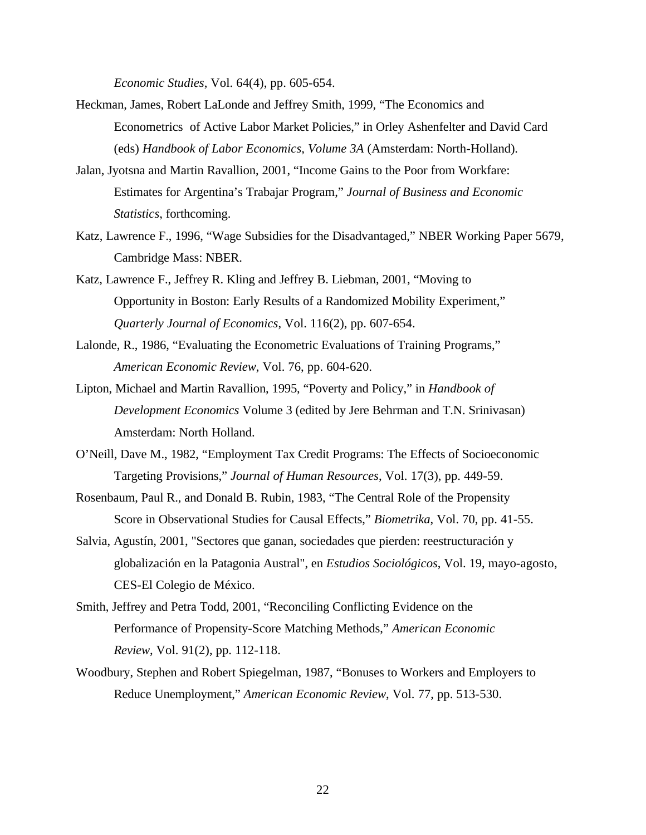*Economic Studies*, Vol. 64(4), pp. 605-654.

- Heckman, James, Robert LaLonde and Jeffrey Smith, 1999, "The Economics and Econometrics of Active Labor Market Policies," in Orley Ashenfelter and David Card (eds) *Handbook of Labor Economics, Volume 3A* (Amsterdam: North-Holland).
- Jalan, Jyotsna and Martin Ravallion, 2001, "Income Gains to the Poor from Workfare: Estimates for Argentina's Trabajar Program," *Journal of Business and Economic Statistics*, forthcoming.
- Katz, Lawrence F., 1996, "Wage Subsidies for the Disadvantaged," NBER Working Paper 5679, Cambridge Mass: NBER.
- Katz, Lawrence F., Jeffrey R. Kling and Jeffrey B. Liebman, 2001, "Moving to Opportunity in Boston: Early Results of a Randomized Mobility Experiment," *Quarterly Journal of Economics*, Vol. 116(2), pp. 607-654.
- Lalonde, R., 1986, "Evaluating the Econometric Evaluations of Training Programs," *American Economic Review*, Vol. 76, pp. 604-620.
- Lipton, Michael and Martin Ravallion, 1995, "Poverty and Policy," in *Handbook of Development Economics* Volume 3 (edited by Jere Behrman and T.N. Srinivasan) Amsterdam: North Holland.
- O'Neill, Dave M., 1982, "Employment Tax Credit Programs: The Effects of Socioeconomic Targeting Provisions," *Journal of Human Resources*, Vol. 17(3), pp. 449-59.
- Rosenbaum, Paul R., and Donald B. Rubin, 1983, "The Central Role of the Propensity Score in Observational Studies for Causal Effects," *Biometrika*, Vol. 70, pp. 41-55.
- Salvia, Agustín, 2001, "Sectores que ganan, sociedades que pierden: reestructuración y globalización en la Patagonia Austral", en *Estudios Sociológicos*, Vol. 19, mayo-agosto, CES-El Colegio de México.
- Smith, Jeffrey and Petra Todd, 2001, "Reconciling Conflicting Evidence on the Performance of Propensity-Score Matching Methods," *American Economic Review*, Vol. 91(2), pp. 112-118.
- Woodbury, Stephen and Robert Spiegelman, 1987, "Bonuses to Workers and Employers to Reduce Unemployment," *American Economic Review*, Vol. 77, pp. 513-530.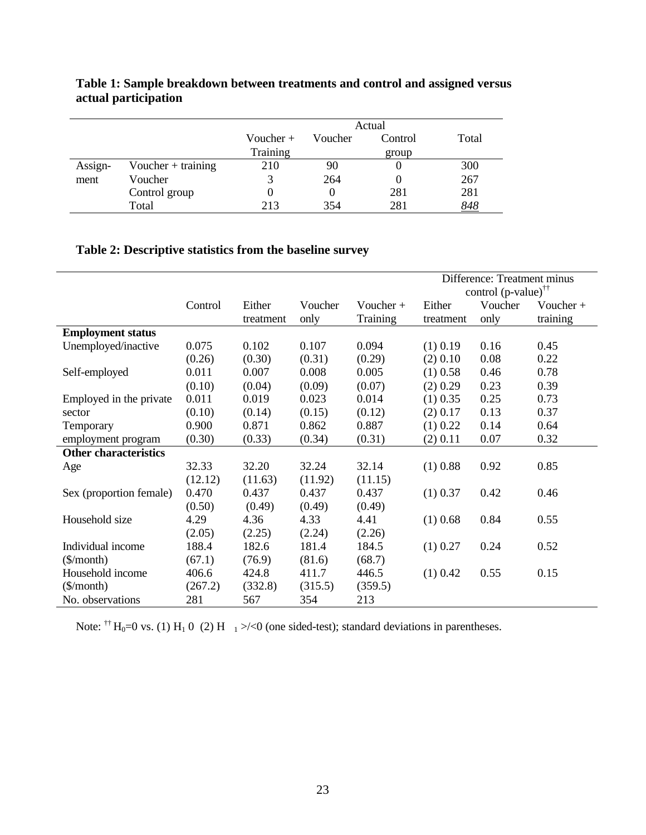|         |                      | Actual      |       |       |            |
|---------|----------------------|-------------|-------|-------|------------|
|         |                      | Voucher $+$ | Total |       |            |
|         |                      | Training    |       | group |            |
| Assign- | Voucher $+$ training | 210         | 90    |       | 300        |
| ment    | Voucher              | 3           | 264   |       | 267        |
|         | Control group        |             |       | 281   | 281        |
|         | Total                | 213         | 354   | 281   | <u>848</u> |

# **Table 1: Sample breakdown between treatments and control and assigned versus actual participation**

## **Table 2: Descriptive statistics from the baseline survey**

|                                       |         |           |         |             |            | Difference: Treatment minus<br>control $(p-value)$ <sup>††</sup> |             |
|---------------------------------------|---------|-----------|---------|-------------|------------|------------------------------------------------------------------|-------------|
|                                       | Control | Either    | Voucher | Voucher $+$ | Either     | Voucher                                                          | Voucher $+$ |
|                                       |         | treatment | only    | Training    | treatment  | only                                                             | training    |
| <b>Employment status</b>              |         |           |         |             |            |                                                                  |             |
| Unemployed/inactive                   | 0.075   | 0.102     | 0.107   | 0.094       | $(1)$ 0.19 | 0.16                                                             | 0.45        |
|                                       | (0.26)  | (0.30)    | (0.31)  | (0.29)      | (2) 0.10   | 0.08                                                             | 0.22        |
| Self-employed                         | 0.011   | 0.007     | 0.008   | 0.005       | $(1)$ 0.58 | 0.46                                                             | 0.78        |
|                                       | (0.10)  | (0.04)    | (0.09)  | (0.07)      | (2) 0.29   | 0.23                                                             | 0.39        |
| Employed in the private               | 0.011   | 0.019     | 0.023   | 0.014       | $(1)$ 0.35 | 0.25                                                             | 0.73        |
| sector                                | (0.10)  | (0.14)    | (0.15)  | (0.12)      | (2) 0.17   | 0.13                                                             | 0.37        |
| Temporary                             | 0.900   | 0.871     | 0.862   | 0.887       | (1) 0.22   | 0.14                                                             | 0.64        |
| employment program                    | (0.30)  | (0.33)    | (0.34)  | (0.31)      | $(2)$ 0.11 | 0.07                                                             | 0.32        |
| <b>Other characteristics</b>          |         |           |         |             |            |                                                                  |             |
| Age                                   | 32.33   | 32.20     | 32.24   | 32.14       | $(1)$ 0.88 | 0.92                                                             | 0.85        |
|                                       | (12.12) | (11.63)   | (11.92) | (11.15)     |            |                                                                  |             |
| Sex (proportion female)               | 0.470   | 0.437     | 0.437   | 0.437       | $(1)$ 0.37 | 0.42                                                             | 0.46        |
|                                       | (0.50)  | (0.49)    | (0.49)  | (0.49)      |            |                                                                  |             |
| Household size                        | 4.29    | 4.36      | 4.33    | 4.41        | $(1)$ 0.68 | 0.84                                                             | 0.55        |
|                                       | (2.05)  | (2.25)    | (2.24)  | (2.26)      |            |                                                                  |             |
| Individual income                     | 188.4   | 182.6     | 181.4   | 184.5       | $(1)$ 0.27 | 0.24                                                             | 0.52        |
| $(\frac{\sin(\theta)}{\sin(\theta)})$ | (67.1)  | (76.9)    | (81.6)  | (68.7)      |            |                                                                  |             |
| Household income                      | 406.6   | 424.8     | 411.7   | 446.5       | $(1)$ 0.42 | 0.55                                                             | 0.15        |
| $(\frac{\sqrt{2}}{2})$                | (267.2) | (332.8)   | (315.5) | (359.5)     |            |                                                                  |             |
| No. observations                      | 281     | 567       | 354     | 213         |            |                                                                  |             |

Note:  $\dagger$ † H<sub>0</sub>=0 vs. (1) H<sub>1</sub> 0 (2) H<sub>1</sub> >/<0 (one sided-test); standard deviations in parentheses.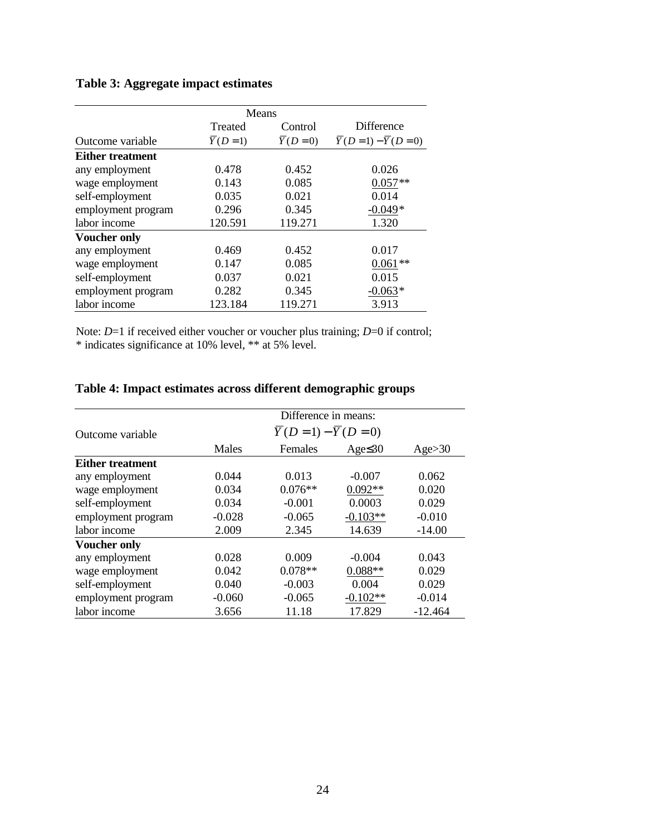# **Table 3: Aggregate impact estimates**

|                         |                     | Means               |                                         |
|-------------------------|---------------------|---------------------|-----------------------------------------|
|                         | Treated             | Control             | <b>Difference</b>                       |
| Outcome variable        | $\overline{Y}(D=1)$ | $\overline{Y}(D=0)$ | $\overline{Y}(D=1) - \overline{Y}(D=0)$ |
| <b>Either treatment</b> |                     |                     |                                         |
| any employment          | 0.478               | 0.452               | 0.026                                   |
| wage employment         | 0.143               | 0.085               | $0.057**$                               |
| self-employment         | 0.035               | 0.021               | 0.014                                   |
| employment program      | 0.296               | 0.345               | $-0.049*$                               |
| labor income            | 120.591             | 119.271             | 1.320                                   |
| <b>Voucher only</b>     |                     |                     |                                         |
| any employment          | 0.469               | 0.452               | 0.017                                   |
| wage employment         | 0.147               | 0.085               | $0.061**$                               |
| self-employment         | 0.037               | 0.021               | 0.015                                   |
| employment program      | 0.282               | 0.345               | $-0.063*$                               |
| labor income            | 123.184             | 119.271             | 3.913                                   |

Note: *D*=1 if received either voucher or voucher plus training; *D*=0 if control; \* indicates significance at 10% level, \*\* at 5% level.

# **Table 4: Impact estimates across different demographic groups**

|                         | Difference in means:                    |           |               |           |  |  |
|-------------------------|-----------------------------------------|-----------|---------------|-----------|--|--|
| Outcome variable        | $\overline{Y}(D=1) - \overline{Y}(D=0)$ |           |               |           |  |  |
|                         | Males                                   | Females   | Age $\leq 30$ | Age>30    |  |  |
| <b>Either treatment</b> |                                         |           |               |           |  |  |
| any employment          | 0.044                                   | 0.013     | $-0.007$      | 0.062     |  |  |
| wage employment         | 0.034                                   | $0.076**$ | $0.092**$     | 0.020     |  |  |
| self-employment         | 0.034                                   | $-0.001$  | 0.0003        | 0.029     |  |  |
| employment program      | $-0.028$                                | $-0.065$  | $-0.103**$    | $-0.010$  |  |  |
| labor income            | 2.009                                   | 2.345     | 14.639        | $-14.00$  |  |  |
| <b>Voucher only</b>     |                                         |           |               |           |  |  |
| any employment          | 0.028                                   | 0.009     | $-0.004$      | 0.043     |  |  |
| wage employment         | 0.042                                   | $0.078**$ | $0.088**$     | 0.029     |  |  |
| self-employment         | 0.040                                   | $-0.003$  | 0.004         | 0.029     |  |  |
| employment program      | $-0.060$                                | $-0.065$  | $-0.102**$    | $-0.014$  |  |  |
| labor income            | 3.656                                   | 11.18     | 17.829        | $-12.464$ |  |  |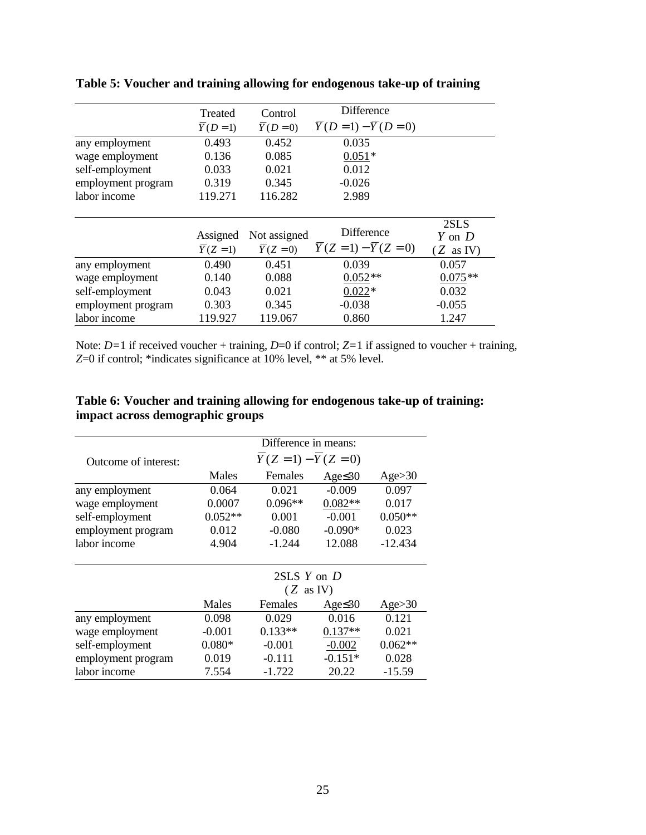|                    | Treated             | Control             | Difference                              |                      |
|--------------------|---------------------|---------------------|-----------------------------------------|----------------------|
|                    | $\overline{Y}(D=1)$ | $\overline{Y}(D=0)$ | $\overline{Y}(D=1) - \overline{Y}(D=0)$ |                      |
| any employment     | 0.493               | 0.452               | 0.035                                   |                      |
| wage employment    | 0.136               | 0.085               | $0.051*$                                |                      |
| self-employment    | 0.033               | 0.021               | 0.012                                   |                      |
| employment program | 0.319               | 0.345               | $-0.026$                                |                      |
| labor income       | 119.271             | 116.282             | 2.989                                   |                      |
|                    |                     |                     |                                         |                      |
|                    | Assigned            | Not assigned        | <b>Difference</b>                       | 2SLS<br>Y on D       |
|                    | $\overline{Y}(Z=1)$ | $\overline{Y}(Z=0)$ | $Y(Z = 1) - \overline{Y}(Z = 0)$        | $(Z \text{ as } IV)$ |
| any employment     | 0.490               | 0.451               | 0.039                                   | 0.057                |
| wage employment    | 0.140               | 0.088               | $0.052**$                               | $0.075**$            |
| self-employment    | 0.043               | 0.021               | $0.022*$                                | 0.032                |
| employment program | 0.303               | 0.345               | $-0.038$                                | $-0.055$             |
| labor income       | 119.927             | 119.067             | 0.860                                   | 1.247                |

**Table 5: Voucher and training allowing for endogenous take-up of training**

Note: *D=*1 if received voucher + training, *D*=0 if control; *Z=*1 if assigned to voucher + training, *Z*=0 if control; \*indicates significance at 10% level, \*\* at 5% level.

## **Table 6: Voucher and training allowing for endogenous take-up of training: impact across demographic groups**

|                      | Difference in means:                    |           |               |           |  |  |
|----------------------|-----------------------------------------|-----------|---------------|-----------|--|--|
| Outcome of interest: | $\overline{Y}(Z=1) - \overline{Y}(Z=0)$ |           |               |           |  |  |
|                      | Males                                   | Females   | Age $\leq 30$ | Age>30    |  |  |
| any employment       | 0.064                                   | 0.021     | $-0.009$      | 0.097     |  |  |
| wage employment      | 0.0007                                  | $0.096**$ | $0.082**$     | 0.017     |  |  |
| self-employment      | $0.052**$                               | 0.001     | $-0.001$      | $0.050**$ |  |  |
| employment program   | 0.012                                   | $-0.080$  | $-0.090*$     | 0.023     |  |  |
| labor income         | 4.904                                   | $-1.244$  | 12.088        | $-12.434$ |  |  |
|                      | $2SLS$ Y on D                           |           |               |           |  |  |
|                      | $(Z \text{ as } IV)$                    |           |               |           |  |  |
|                      | Males                                   | Females   | Age $\leq 30$ | Age>30    |  |  |
| any employment       | 0.098                                   | 0.029     | 0.016         | 0.121     |  |  |
| wage employment      | $-0.001$                                | $0.133**$ | $0.137**$     | 0.021     |  |  |
| self-employment      | $0.080*$                                | $-0.001$  | $-0.002$      | $0.062**$ |  |  |
| employment program   | 0.019                                   | $-0.111$  | $-0.151*$     | 0.028     |  |  |
| labor income         | 7.554                                   | $-1.722$  | 20.22         | $-15.59$  |  |  |